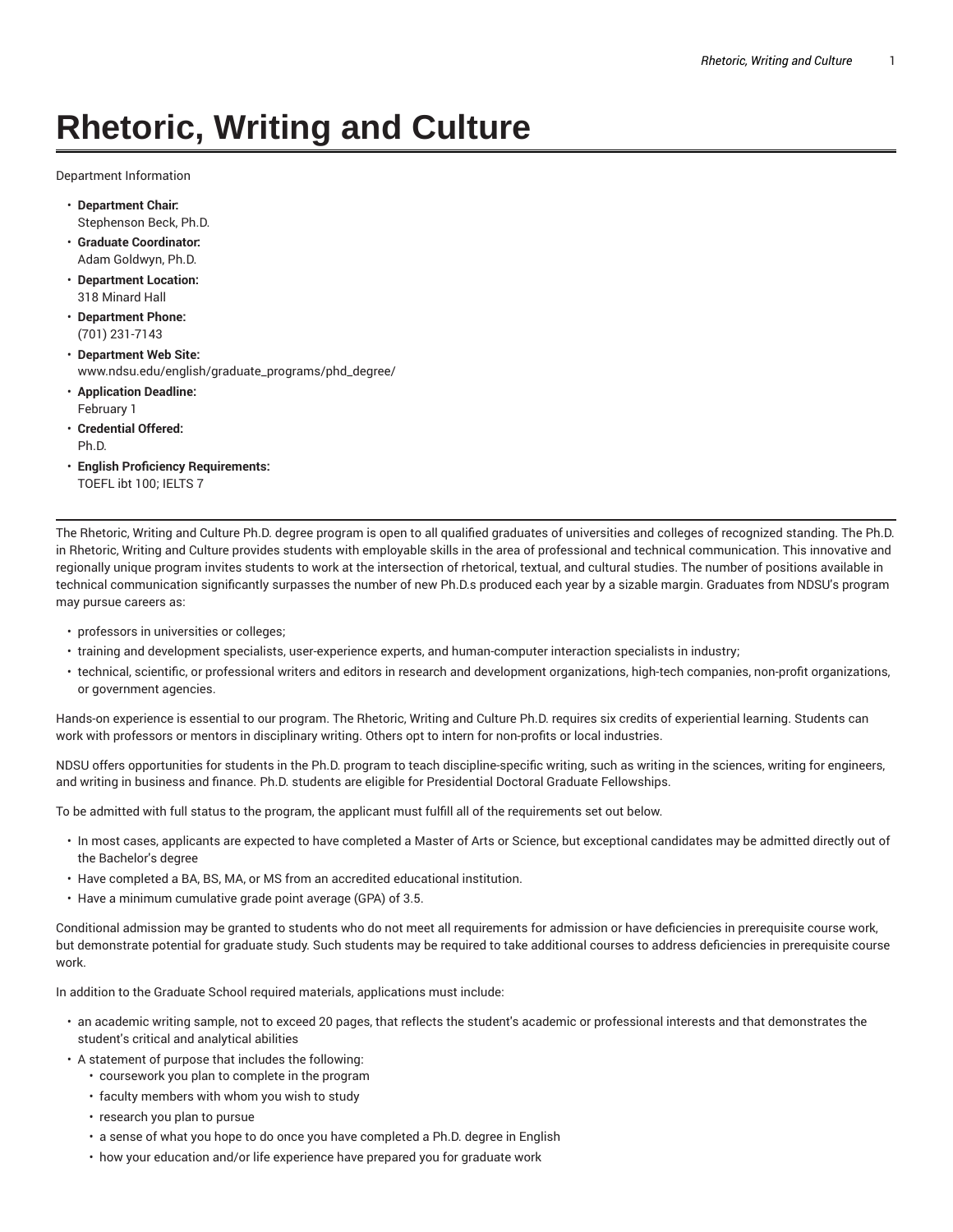# **Rhetoric, Writing and Culture**

Department Information

- **Department Chair:** Stephenson Beck, Ph.D.
- **Graduate Coordinator:** Adam Goldwyn, Ph.D.
- **Department Location:** 318 Minard Hall
- **Department Phone:** (701) 231-7143
- **Department Web Site:** www.ndsu.edu/english/graduate\_programs/phd\_degree/
- **Application Deadline:** February 1
- **Credential Offered:** Ph.D.
- **English Proficiency Requirements:** TOEFL ibt 100; IELTS 7

The Rhetoric, Writing and Culture Ph.D. degree program is open to all qualified graduates of universities and colleges of recognized standing. The Ph.D. in Rhetoric, Writing and Culture provides students with employable skills in the area of professional and technical communication. This innovative and regionally unique program invites students to work at the intersection of rhetorical, textual, and cultural studies. The number of positions available in technical communication significantly surpasses the number of new Ph.D.s produced each year by a sizable margin. Graduates from NDSU's program may pursue careers as:

- professors in universities or colleges;
- training and development specialists, user-experience experts, and human-computer interaction specialists in industry;
- technical, scientific, or professional writers and editors in research and development organizations, high-tech companies, non-profit organizations, or government agencies.

Hands-on experience is essential to our program. The Rhetoric, Writing and Culture Ph.D. requires six credits of experiential learning. Students can work with professors or mentors in disciplinary writing. Others opt to intern for non-profits or local industries.

NDSU offers opportunities for students in the Ph.D. program to teach discipline-specific writing, such as writing in the sciences, writing for engineers, and writing in business and finance. Ph.D. students are eligible for Presidential Doctoral Graduate Fellowships.

To be admitted with full status to the program, the applicant must fulfill all of the requirements set out below.

- In most cases, applicants are expected to have completed a Master of Arts or Science, but exceptional candidates may be admitted directly out of the Bachelor's degree
- Have completed a BA, BS, MA, or MS from an accredited educational institution.
- Have a minimum cumulative grade point average (GPA) of 3.5.

Conditional admission may be granted to students who do not meet all requirements for admission or have deficiencies in prerequisite course work, but demonstrate potential for graduate study. Such students may be required to take additional courses to address deficiencies in prerequisite course work.

In addition to the Graduate School required materials, applications must include:

- an academic writing sample, not to exceed 20 pages, that reflects the student's academic or professional interests and that demonstrates the student's critical and analytical abilities
- A statement of purpose that includes the following:
	- coursework you plan to complete in the program
	- faculty members with whom you wish to study
	- research you plan to pursue
	- a sense of what you hope to do once you have completed a Ph.D. degree in English
	- how your education and/or life experience have prepared you for graduate work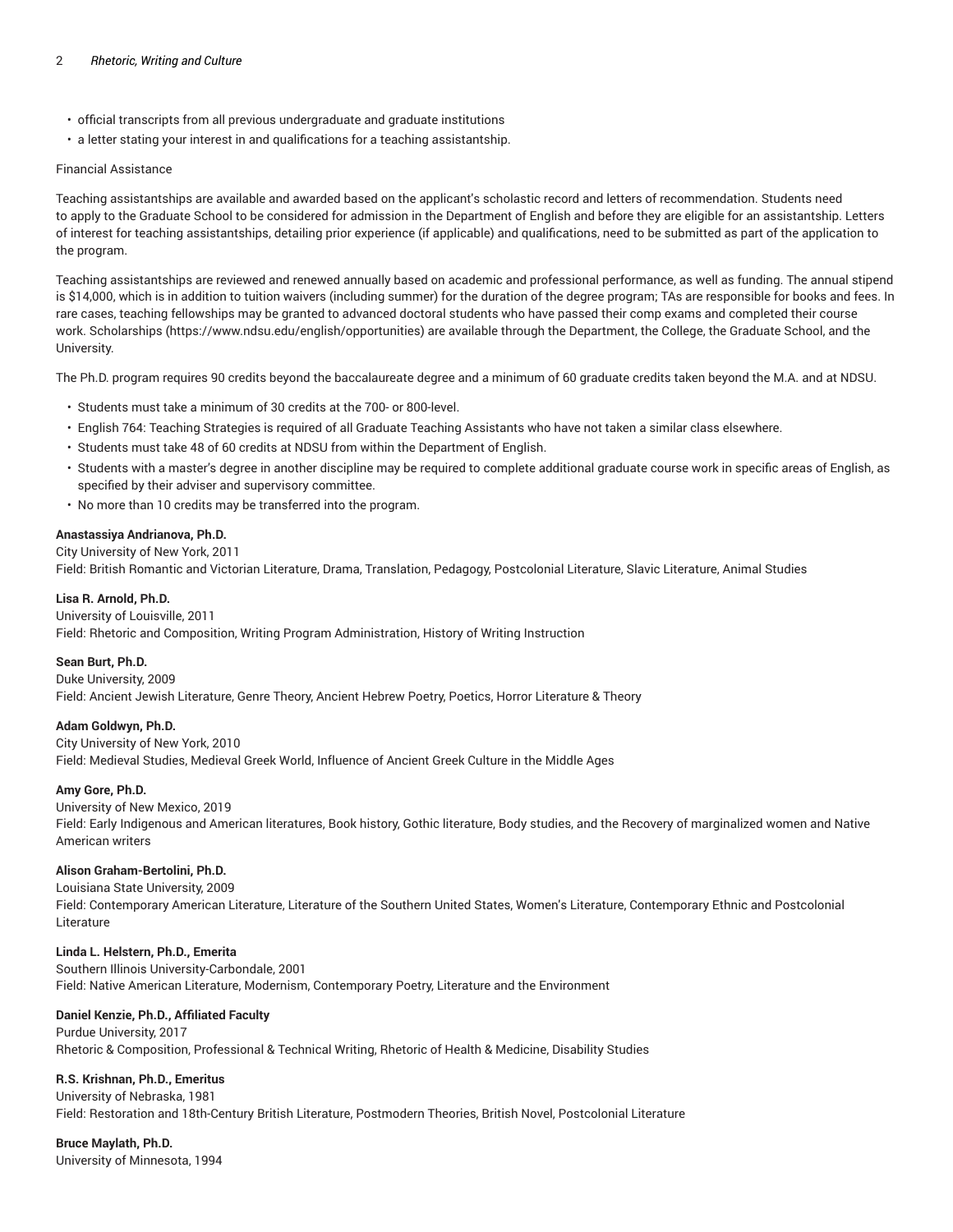#### 2 *Rhetoric, Writing and Culture*

- official transcripts from all previous undergraduate and graduate institutions
- a letter stating your interest in and qualifications for a teaching assistantship.

## Financial Assistance

Teaching assistantships are available and awarded based on the applicant's scholastic record and letters of recommendation. Students need to apply to the Graduate School to be considered for admission in the Department of English and before they are eligible for an assistantship. Letters of interest for teaching assistantships, detailing prior experience (if applicable) and qualifications, need to be submitted as part of the application to the program.

Teaching assistantships are reviewed and renewed annually based on academic and professional performance, as well as funding. The annual stipend is \$14,000, which is in addition to tuition waivers (including summer) for the duration of the degree program; TAs are responsible for books and fees. In rare cases, teaching fellowships may be granted to advanced doctoral students who have passed their comp exams and completed their course work. Scholarships (https://www.ndsu.edu/english/opportunities) are available through the Department, the College, the Graduate School, and the University.

The Ph.D. program requires 90 credits beyond the baccalaureate degree and a minimum of 60 graduate credits taken beyond the M.A. and at NDSU.

- Students must take a minimum of 30 credits at the 700- or 800-level.
- English 764: Teaching Strategies is required of all Graduate Teaching Assistants who have not taken a similar class elsewhere.
- Students must take 48 of 60 credits at NDSU from within the Department of English.
- Students with a master's degree in another discipline may be required to complete additional graduate course work in specific areas of English, as specified by their adviser and supervisory committee.
- No more than 10 credits may be transferred into the program.

# **Anastassiya Andrianova, Ph.D.**

City University of New York, 2011 Field: British Romantic and Victorian Literature, Drama, Translation, Pedagogy, Postcolonial Literature, Slavic Literature, Animal Studies

## **Lisa R. Arnold, Ph.D.**

#### University of Louisville, 2011 Field: Rhetoric and Composition, Writing Program Administration, History of Writing Instruction

#### **Sean Burt, Ph.D.**

Duke University, 2009 Field: Ancient Jewish Literature, Genre Theory, Ancient Hebrew Poetry, Poetics, Horror Literature & Theory

# **Adam Goldwyn, Ph.D.**

City University of New York, 2010

Field: Medieval Studies, Medieval Greek World, Influence of Ancient Greek Culture in the Middle Ages

#### **Amy Gore, Ph.D.**

University of New Mexico, 2019 Field: Early Indigenous and American literatures, Book history, Gothic literature, Body studies, and the Recovery of marginalized women and Native American writers

# **Alison Graham-Bertolini, Ph.D.**

Louisiana State University, 2009

Field: Contemporary American Literature, Literature of the Southern United States, Women's Literature, Contemporary Ethnic and Postcolonial Literature

# **Linda L. Helstern, Ph.D., Emerita**

Southern Illinois University-Carbondale, 2001 Field: Native American Literature, Modernism, Contemporary Poetry, Literature and the Environment

# **Daniel Kenzie, Ph.D., Affiliated Faculty**

Purdue University, 2017 Rhetoric & Composition, Professional & Technical Writing, Rhetoric of Health & Medicine, Disability Studies

# **R.S. Krishnan, Ph.D., Emeritus**

University of Nebraska, 1981 Field: Restoration and 18th-Century British Literature, Postmodern Theories, British Novel, Postcolonial Literature

# **Bruce Maylath, Ph.D.**

University of Minnesota, 1994